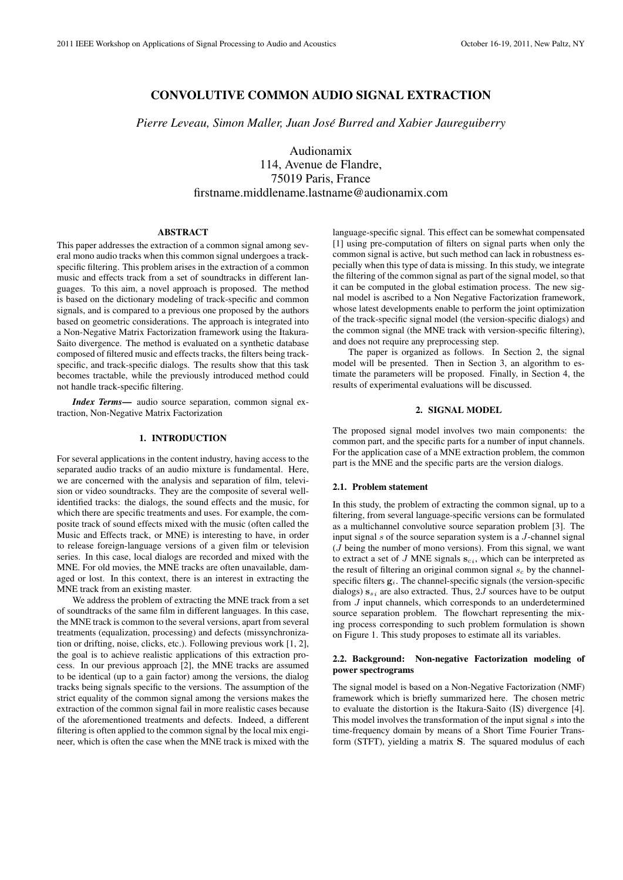# CONVOLUTIVE COMMON AUDIO SIGNAL EXTRACTION

*Pierre Leveau, Simon Maller, Juan Jose Burred and Xabier Jaureguiberry ´*

Audionamix 114, Avenue de Flandre, 75019 Paris, France firstname.middlename.lastname@audionamix.com

## ABSTRACT

This paper addresses the extraction of a common signal among several mono audio tracks when this common signal undergoes a trackspecific filtering. This problem arises in the extraction of a common music and effects track from a set of soundtracks in different languages. To this aim, a novel approach is proposed. The method is based on the dictionary modeling of track-specific and common signals, and is compared to a previous one proposed by the authors based on geometric considerations. The approach is integrated into a Non-Negative Matrix Factorization framework using the Itakura-Saito divergence. The method is evaluated on a synthetic database composed of filtered music and effects tracks, the filters being trackspecific, and track-specific dialogs. The results show that this task becomes tractable, while the previously introduced method could not handle track-specific filtering.

*Index Terms*— audio source separation, common signal extraction, Non-Negative Matrix Factorization

#### 1. INTRODUCTION

For several applications in the content industry, having access to the separated audio tracks of an audio mixture is fundamental. Here, we are concerned with the analysis and separation of film, television or video soundtracks. They are the composite of several wellidentified tracks: the dialogs, the sound effects and the music, for which there are specific treatments and uses. For example, the composite track of sound effects mixed with the music (often called the Music and Effects track, or MNE) is interesting to have, in order to release foreign-language versions of a given film or television series. In this case, local dialogs are recorded and mixed with the MNE. For old movies, the MNE tracks are often unavailable, damaged or lost. In this context, there is an interest in extracting the MNE track from an existing master.

We address the problem of extracting the MNE track from a set of soundtracks of the same film in different languages. In this case, the MNE track is common to the several versions, apart from several treatments (equalization, processing) and defects (missynchronization or drifting, noise, clicks, etc.). Following previous work [1, 2], the goal is to achieve realistic applications of this extraction process. In our previous approach [2], the MNE tracks are assumed to be identical (up to a gain factor) among the versions, the dialog tracks being signals specific to the versions. The assumption of the strict equality of the common signal among the versions makes the extraction of the common signal fail in more realistic cases because of the aforementioned treatments and defects. Indeed, a different filtering is often applied to the common signal by the local mix engineer, which is often the case when the MNE track is mixed with the

language-specific signal. This effect can be somewhat compensated [1] using pre-computation of filters on signal parts when only the common signal is active, but such method can lack in robustness especially when this type of data is missing. In this study, we integrate the filtering of the common signal as part of the signal model, so that it can be computed in the global estimation process. The new signal model is ascribed to a Non Negative Factorization framework, whose latest developments enable to perform the joint optimization of the track-specific signal model (the version-specific dialogs) and the common signal (the MNE track with version-specific filtering), and does not require any preprocessing step.

The paper is organized as follows. In Section 2, the signal model will be presented. Then in Section 3, an algorithm to estimate the parameters will be proposed. Finally, in Section 4, the results of experimental evaluations will be discussed.

## 2. SIGNAL MODEL

The proposed signal model involves two main components: the common part, and the specific parts for a number of input channels. For the application case of a MNE extraction problem, the common part is the MNE and the specific parts are the version dialogs.

### 2.1. Problem statement

In this study, the problem of extracting the common signal, up to a filtering, from several language-specific versions can be formulated as a multichannel convolutive source separation problem [3]. The input signal *s* of the source separation system is a *J*-channel signal (*J* being the number of mono versions). From this signal, we want to extract a set of  $J$  MNE signals  $s_{ci}$ , which can be interpreted as the result of filtering an original common signal  $s_c$  by the channelspecific filters  $g_i$ . The channel-specific signals (the version-specific dialogs)  $\mathbf{s}_{s_i}$  are also extracted. Thus, 2*J* sources have to be output from *J* input channels, which corresponds to an underdetermined source separation problem. The flowchart representing the mixing process corresponding to such problem formulation is shown on Figure 1. This study proposes to estimate all its variables.

## 2.2. Background: Non-negative Factorization modeling of power spectrograms

The signal model is based on a Non-Negative Factorization (NMF) framework which is briefly summarized here. The chosen metric to evaluate the distortion is the Itakura-Saito (IS) divergence [4]. This model involves the transformation of the input signal *s* into the time-frequency domain by means of a Short Time Fourier Transform (STFT), yielding a matrix **S**. The squared modulus of each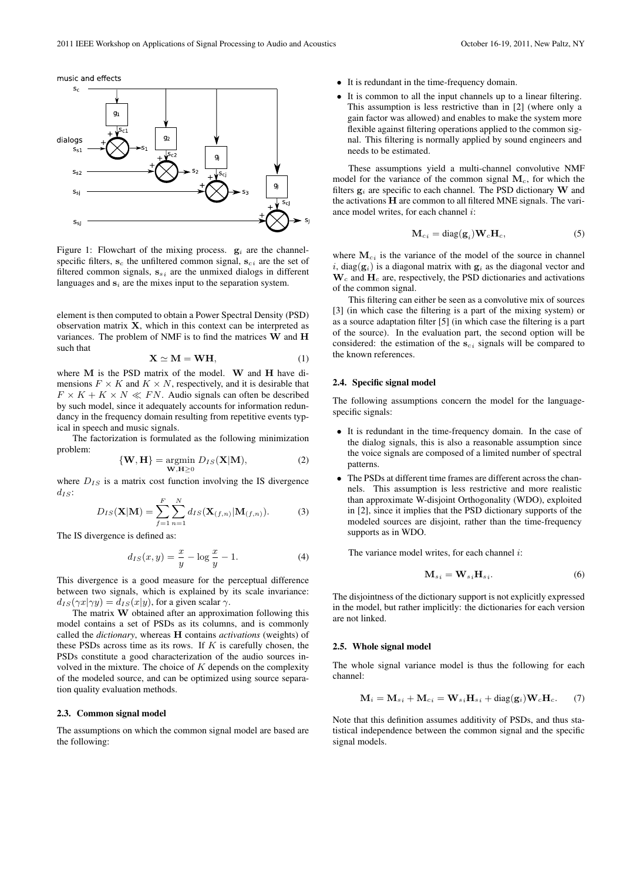



Figure 1: Flowchart of the mixing process.  $g_i$  are the channelspecific filters,  $\mathbf{s}_c$  the unfiltered common signal,  $\mathbf{s}_{c,i}$  are the set of filtered common signals,  $\mathbf{s}_{si}$  are the unmixed dialogs in different languages and  $s_i$  are the mixes input to the separation system.

element is then computed to obtain a Power Spectral Density (PSD) observation matrix **X**, which in this context can be interpreted as variances. The problem of NMF is to find the matrices **W** and **H** such that

$$
X \simeq M = WH,
$$
 (1)

where **M** is the PSD matrix of the model. **W** and **H** have dimensions  $F \times K$  and  $K \times N$ , respectively, and it is desirable that  $F \times K + K \times N \ll FN$ . Audio signals can often be described by such model, since it adequately accounts for information redundancy in the frequency domain resulting from repetitive events typical in speech and music signals.

The factorization is formulated as the following minimization problem:

$$
\{\mathbf{W}, \mathbf{H}\} = \underset{\mathbf{W}, \mathbf{H} \ge 0}{\text{argmin}} D_{IS}(\mathbf{X}|\mathbf{M}),
$$
 (2)

where  $D_{IS}$  is a matrix cost function involving the IS divergence *dIS*:

$$
D_{IS}(\mathbf{X}|\mathbf{M}) = \sum_{f=1}^{F} \sum_{n=1}^{N} d_{IS}(\mathbf{X}_{(f,n)}|\mathbf{M}_{(f,n)}).
$$
 (3)

The IS divergence is defined as:

$$
d_{IS}(x, y) = \frac{x}{y} - \log \frac{x}{y} - 1.
$$
 (4)

This divergence is a good measure for the perceptual difference between two signals, which is explained by its scale invariance:  $d_{IS}(\gamma x | \gamma y) = d_{IS}(x | y)$ , for a given scalar  $\gamma$ .

The matrix **W** obtained after an approximation following this model contains a set of PSDs as its columns, and is commonly called the *dictionary*, whereas **H** contains *activations* (weights) of these PSDs across time as its rows. If *K* is carefully chosen, the PSDs constitute a good characterization of the audio sources involved in the mixture. The choice of *K* depends on the complexity of the modeled source, and can be optimized using source separation quality evaluation methods.

## 2.3. Common signal model

The assumptions on which the common signal model are based are the following:

- It is redundant in the time-frequency domain.
- *•* It is common to all the input channels up to a linear filtering. This assumption is less restrictive than in [2] (where only a gain factor was allowed) and enables to make the system more flexible against filtering operations applied to the common signal. This filtering is normally applied by sound engineers and needs to be estimated.

These assumptions yield a multi-channel convolutive NMF model for the variance of the common signal **M***c*, for which the filters  $g_i$  are specific to each channel. The PSD dictionary **W** and the activations **H** are common to all filtered MNE signals. The variance model writes, for each channel *i*:

$$
\mathbf{M}_{ci} = \text{diag}(\mathbf{g}_i) \mathbf{W}_c \mathbf{H}_c,\tag{5}
$$

where  $M_{ci}$  is the variance of the model of the source in channel *i*, diag( $\mathbf{g}_i$ ) is a diagonal matrix with  $\mathbf{g}_i$  as the diagonal vector and **W***<sup>c</sup>* and **H***<sup>c</sup>* are, respectively, the PSD dictionaries and activations of the common signal.

This filtering can either be seen as a convolutive mix of sources [3] (in which case the filtering is a part of the mixing system) or as a source adaptation filter [5] (in which case the filtering is a part of the source). In the evaluation part, the second option will be considered: the estimation of the **s***ci* signals will be compared to the known references.

## 2.4. Specific signal model

The following assumptions concern the model for the languagespecific signals:

- *•* It is redundant in the time-frequency domain. In the case of the dialog signals, this is also a reasonable assumption since the voice signals are composed of a limited number of spectral patterns.
- *•* The PSDs at different time frames are different across the channels. This assumption is less restrictive and more realistic than approximate W-disjoint Orthogonality (WDO), exploited in [2], since it implies that the PSD dictionary supports of the modeled sources are disjoint, rather than the time-frequency supports as in WDO.

The variance model writes, for each channel *i*:

$$
\mathbf{M}_{s i} = \mathbf{W}_{s i} \mathbf{H}_{s i}.
$$
 (6)

The disjointness of the dictionary support is not explicitly expressed in the model, but rather implicitly: the dictionaries for each version are not linked.

## 2.5. Whole signal model

The whole signal variance model is thus the following for each channel:

$$
\mathbf{M}_i = \mathbf{M}_{s i} + \mathbf{M}_{c i} = \mathbf{W}_{s i} \mathbf{H}_{s i} + \text{diag}(\mathbf{g}_i) \mathbf{W}_c \mathbf{H}_c.
$$
 (7)

Note that this definition assumes additivity of PSDs, and thus statistical independence between the common signal and the specific signal models.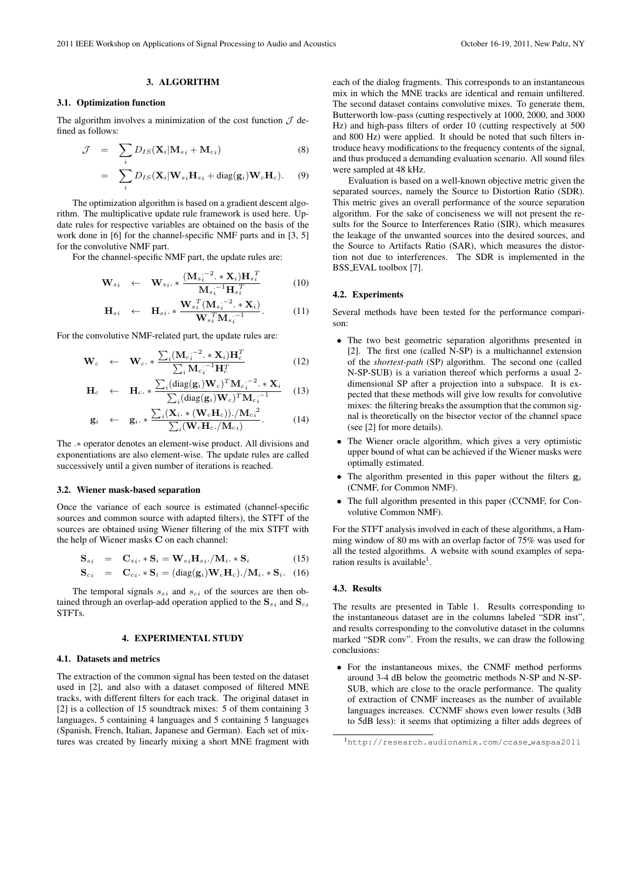## 3. ALGORITHM

## 3.1. Optimization function

The algorithm involves a minimization of the cost function  $\mathcal J$  defined as follows:

$$
\mathcal{J} = \sum_{i} D_{IS}(\mathbf{X}_i | \mathbf{M}_{si} + \mathbf{M}_{ci})
$$
 (8)

$$
= \sum_i D_{IS}(\mathbf{X}_i | \mathbf{W}_{si} \mathbf{H}_{si} + \text{diag}(\mathbf{g}_i) \mathbf{W}_c \mathbf{H}_c).
$$
 (9)

The optimization algorithm is based on a gradient descent algorithm. The multiplicative update rule framework is used here. Update rules for respective variables are obtained on the basis of the work done in [6] for the channel-specific NMF parts and in [3, 5] for the convolutive NMF part.

For the channel-specific NMF part, the update rules are:

$$
\mathbf{W}_{si} \leftarrow \mathbf{W}_{si} \cdot * \frac{(\mathbf{M}_{si}^{-2} \cdot * \mathbf{X}_{i}) \mathbf{H}_{si}^{-T}}{\mathbf{M}_{si}^{-1} \mathbf{H}_{si}^{-T}}
$$
(10)

$$
\mathbf{H}_{si} \leftarrow \mathbf{H}_{si} \cdot * \frac{\mathbf{W}_{s_i}^T (\mathbf{M}_{s_i} - 2 \cdot * \mathbf{X}_i)}{\mathbf{W}_{s_i}^T \mathbf{M}_{s_i}^{-1}}.
$$
 (11)

For the convolutive NMF-related part, the update rules are:

$$
\mathbf{W}_c \leftarrow \mathbf{W}_c \ast \frac{\sum_i (\mathbf{M}_{c_i}^{--2} \cdot \mathbf{x}_i) \mathbf{H}_c^T}{\sum_i \mathbf{M}_{c_i}^{--1} \mathbf{H}_c^T}
$$
(12)

$$
\mathbf{H}_c \leftarrow \mathbf{H}_c. * \frac{\sum_i (\text{diag}(\mathbf{g}_i) \mathbf{W}_c)^T \mathbf{M}_{c_i}^{-2} \cdot * \mathbf{X}_i}{\sum_i (\text{diag}(\mathbf{g}_i) \mathbf{W}_c)^T \mathbf{M}_{c_i}^{-1}} \quad (13)
$$

$$
\mathbf{g}_i \leftarrow \mathbf{g}_i \ast \frac{\sum_i (\mathbf{X}_i \ast (\mathbf{W}_c \mathbf{H}_c)) \cdot / \mathbf{M}_c \mathbf{G}_i^2}{\sum_i (\mathbf{W}_c \mathbf{H}_c \cdot / \mathbf{M}_c \mathbf{G}_i)}.
$$
(14)

The *.∗* operator denotes an element-wise product. All divisions and exponentiations are also element-wise. The update rules are called successively until a given number of iterations is reached.

## 3.2. Wiener mask-based separation

Once the variance of each source is estimated (channel-specific sources and common source with adapted filters), the STFT of the sources are obtained using Wiener filtering of the mix STFT with the help of Wiener masks **C** on each channel:

$$
\mathbf{S}_{s_i} = \mathbf{C}_{s_i} \cdot \mathbf{S}_i = \mathbf{W}_{s_i} \mathbf{H}_{s_i} / \mathbf{M}_i \cdot \mathbf{S}_i \tag{15}
$$

$$
\mathbf{S}_{ci} = \mathbf{C}_{ci} \cdot \mathbf{S}_{i} = (\text{diag}(\mathbf{g}_{i}) \mathbf{W}_{c} \mathbf{H}_{c}) \cdot / \mathbf{M}_{i} \cdot \mathbf{S}_{i}. \quad (16)
$$

The temporal signals  $s_{si}$  and  $s_{ci}$  of the sources are then obtained through an overlap-add operation applied to the  $\mathbf{S}_{s_i}$  and  $\mathbf{S}_{c_i}$ STFTs.

### 4. EXPERIMENTAL STUDY

#### 4.1. Datasets and metrics

The extraction of the common signal has been tested on the dataset used in [2], and also with a dataset composed of filtered MNE tracks, with different filters for each track. The original dataset in [2] is a collection of 15 soundtrack mixes: 5 of them containing 3 languages, 5 containing 4 languages and 5 containing 5 languages (Spanish, French, Italian, Japanese and German). Each set of mixtures was created by linearly mixing a short MNE fragment with each of the dialog fragments. This corresponds to an instantaneous mix in which the MNE tracks are identical and remain unfiltered. The second dataset contains convolutive mixes. To generate them, Butterworth low-pass (cutting respectively at 1000, 2000, and 3000 Hz) and high-pass filters of order 10 (cutting respectively at 500 and 800 Hz) were applied. It should be noted that such filters introduce heavy modifications to the frequency contents of the signal, and thus produced a demanding evaluation scenario. All sound files were sampled at 48 kHz.

Evaluation is based on a well-known objective metric given the separated sources, namely the Source to Distortion Ratio (SDR). This metric gives an overall performance of the source separation algorithm. For the sake of conciseness we will not present the results for the Source to Interferences Ratio (SIR), which measures the leakage of the unwanted sources into the desired sources, and the Source to Artifacts Ratio (SAR), which measures the distortion not due to interferences. The SDR is implemented in the BSS EVAL toolbox [7].

## 4.2. Experiments

Several methods have been tested for the performance comparison:

- The two best geometric separation algorithms presented in [2]. The first one (called N-SP) is a multichannel extension of the *shortest-path* (SP) algorithm. The second one (called N-SP-SUB) is a variation thereof which performs a usual 2 dimensional SP after a projection into a subspace. It is expected that these methods will give low results for convolutive mixes: the filtering breaks the assumption that the common signal is theoretically on the bisector vector of the channel space (see [2] for more details).
- *•* The Wiener oracle algorithm, which gives a very optimistic upper bound of what can be achieved if the Wiener masks were optimally estimated.
- *•* The algorithm presented in this paper without the filters **g***<sup>i</sup>* (CNMF, for Common NMF).
- *•* The full algorithm presented in this paper (CCNMF, for Convolutive Common NMF).

For the STFT analysis involved in each of these algorithms, a Hamming window of 80 ms with an overlap factor of 75% was used for all the tested algorithms. A website with sound examples of separation results is available<sup>1</sup>.

#### 4.3. Results

The results are presented in Table 1. Results corresponding to the instantaneous dataset are in the columns labeled "SDR inst", and results corresponding to the convolutive dataset in the columns marked "SDR conv". From the results, we can draw the following conclusions:

*•* For the instantaneous mixes, the CNMF method performs around 3-4 dB below the geometric methods N-SP and N-SP-SUB, which are close to the oracle performance. The quality of extraction of CNMF increases as the number of available languages increases. CCNMF shows even lower results (3dB to 5dB less): it seems that optimizing a filter adds degrees of

<sup>1</sup>http://research.audionamix.com/ccase waspaa2011